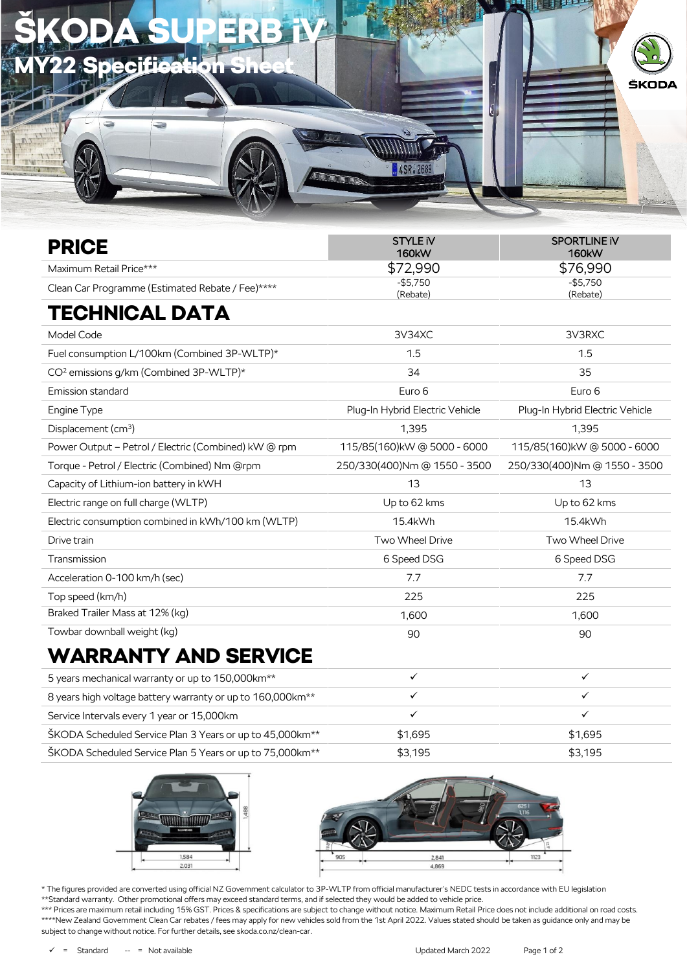| <b>SKODA SUPERB</b><br>不忘 |          |             |
|---------------------------|----------|-------------|
|                           | 4SR.2689 | ŠKODA<br>ι. |
|                           |          |             |

| <b>PRICE</b>                                         | <b>STYLE IV</b><br><b>160kW</b> | <b>SPORTLINE IV</b><br><b>160kW</b> |  |
|------------------------------------------------------|---------------------------------|-------------------------------------|--|
| Maximum Retail Price***                              | \$72,990                        | \$76,990                            |  |
| Clean Car Programme (Estimated Rebate / Fee)****     | $-$5,750$<br>(Rebate)           | $-$5,750$<br>(Rebate)               |  |
| TECHNICAL DATA                                       |                                 |                                     |  |
| Model Code                                           | 3V34XC                          | 3V3RXC                              |  |
| Fuel consumption L/100km (Combined 3P-WLTP)*         | 1.5                             | 1.5                                 |  |
| CO <sup>2</sup> emissions g/km (Combined 3P-WLTP)*   | 34                              | 35                                  |  |
| <b>Emission standard</b>                             | Euro 6                          | Euro 6                              |  |
| Engine Type                                          | Plug-In Hybrid Electric Vehicle | Plug-In Hybrid Electric Vehicle     |  |
| Displacement (cm <sup>3</sup> )                      | 1,395                           | 1,395                               |  |
| Power Output - Petrol / Electric (Combined) kW @ rpm | 115/85(160) kW @ 5000 - 6000    | 115/85(160)kW@5000-6000             |  |
| Torque - Petrol / Electric (Combined) Nm @rpm        | 250/330(400)Nm @ 1550 - 3500    | 250/330(400)Nm @ 1550 - 3500        |  |
| Capacity of Lithium-ion battery in kWH               | 13                              | 13                                  |  |
| Electric range on full charge (WLTP)                 | Up to 62 kms                    | Up to 62 kms                        |  |
| Electric consumption combined in kWh/100 km (WLTP)   | 15.4kWh                         | 15.4kWh                             |  |
| Drive train                                          | Two Wheel Drive                 | Two Wheel Drive                     |  |
| Transmission                                         | 6 Speed DSG                     | 6 Speed DSG                         |  |
| Acceleration 0-100 km/h (sec)                        | 7.7                             | 7.7                                 |  |
| Top speed (km/h)                                     | 225                             | 225                                 |  |
| Braked Trailer Mass at 12% (kg)                      | 1,600                           | 1,600                               |  |
| Towbar downball weight (kg)                          | 90                              | 90                                  |  |
| WILDRANTV AND AFBULG                                 |                                 |                                     |  |

## WARRANTY AND SERVICE

| 5 years mechanical warranty or up to 150,000 km <sup>**</sup>          |         |         |
|------------------------------------------------------------------------|---------|---------|
| 8 years high voltage battery warranty or up to 160,000km <sup>**</sup> |         |         |
| Service Intervals every 1 year or 15,000km                             |         |         |
| ŠKODA Scheduled Service Plan 3 Years or up to 45,000km <sup>**</sup>   | \$1.695 | \$1.695 |
| ŠKODA Scheduled Service Plan 5 Years or up to 75,000km <sup>**</sup>   | \$3.195 | \$3,195 |





\* The figures provided are converted using official NZ Government calculator to 3P-WLTP from official manufacturer's NEDC tests in accordance with EU legislation \*\*Standard warranty. Other promotional offers may exceed standard terms, and if selected they would be added to vehicle price.

\*\*\* Prices are maximum retail including 15% GST. Prices & specifications are subject to change without notice. Maximum Retail Price does not include additional on road costs. \*\*\*\*New Zealand Government Clean Car rebates / fees may apply for new vehicles sold from the 1st April 2022. Values stated should be taken as guidance only and may be subject to change without notice. For further details, see skoda.co.nz/clean-car.